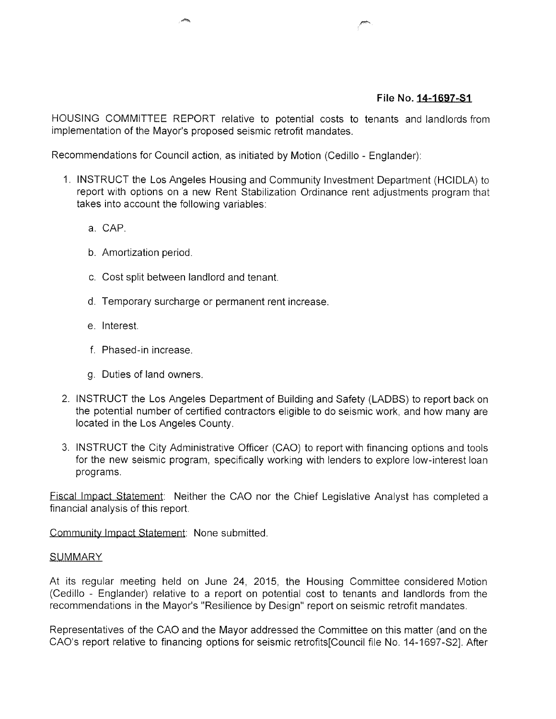## **File No. 14-1697-S1**

HOUSING COMMITTEE REPORT relative to potential costs to tenants and landlords from implementation of the Mayor's proposed seismic retrofit mandates.

Recommendations for Council action, as initiated by Motion (Cedillo - Englander):

- 1. INSTRUCT the Los Angeles Housing and Community Investment Department (HCIDLA) to report with options on a new Rent Stabilization Ordinance rent adjustments program that takes into account the following variables:
	- a. CAP.
	- b. Amortization period.
	- c. Cost split between landlord and tenant.
	- d. Temporary surcharge or permanent rent increase.
	- e. Interest.
	- f. Phased-in increase.
	- g. Duties of land owners.
- 2. INSTRUCT the Los Angeles Department of Building and Safety (LADBS) to report back on the potential number of certified contractors eligible to do seismic work, and how many are located in the Los Angeles County.
- 3. INSTRUCT the City Administrative Officer (CAO) to report with financing options and tools for the new seismic program, specifically working with lenders to explore low-interest loan programs.

Fiscal Impact Statement: Neither the CAO nor the Chief Legislative Analyst has completed a financial analysis of this report.

Community Impact Statement: None submitted.

## **SUMMARY**

At its regular meeting held on June 24, 2015, the Housing Committee considered Motion (Cedillo - Englander) relative to a report on potential cost to tenants and landlords from the recommendations in the Mayor's "Resilience by Design" report on seismic retrofit mandates.

Representatives of the CAO and the Mayor addressed the Committee on this matter (and on the CAO's report relative to financing options for seismic retrofits[Council file No. 14-1697-S2]. After